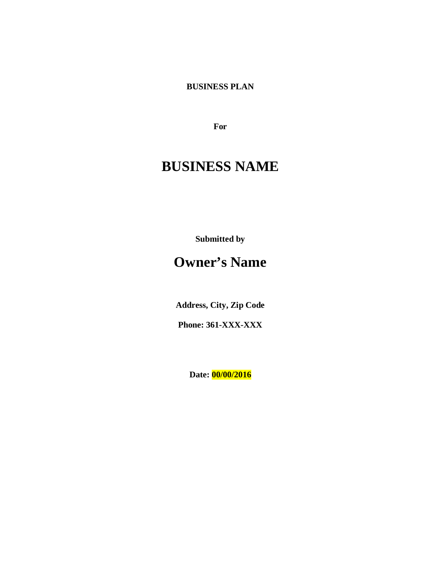**BUSINESS PLAN**

**For**

# **BUSINESS NAME**

**Submitted by**

# **Owner's Name**

**Address, City, Zip Code** 

**Phone: 361-XXX-XXX**

**Date: 00/00/2016**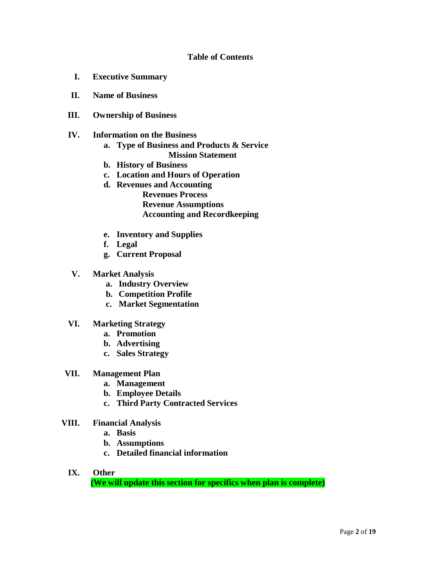# **Table of Contents**

- **I. Executive Summary**
- **II. Name of Business**
- **III. Ownership of Business**
- **IV. Information on the Business**
	- **a. Type of Business and Products & Service Mission Statement**
	- **b. History of Business**
	- **c. Location and Hours of Operation**
	- **d. Revenues and Accounting Revenues Process Revenue Assumptions Accounting and Recordkeeping**
	- **e. Inventory and Supplies**
	- **f. Legal**
	- **g. Current Proposal**
- **V. Market Analysis**
	- **a. Industry Overview**
	- **b. Competition Profile**
	- **c. Market Segmentation**
- **VI. Marketing Strategy** 
	- **a. Promotion**
	- **b. Advertising**
	- **c. Sales Strategy**
- **VII. Management Plan** 
	- **a. Management**
	- **b. Employee Details**
	- **c. Third Party Contracted Services**
- **VIII. Financial Analysis**
	- **a. Basis**
	- **b. Assumptions**
	- **c. Detailed financial information**
	- **IX. Other (We will update this section for specifics when plan is complete)**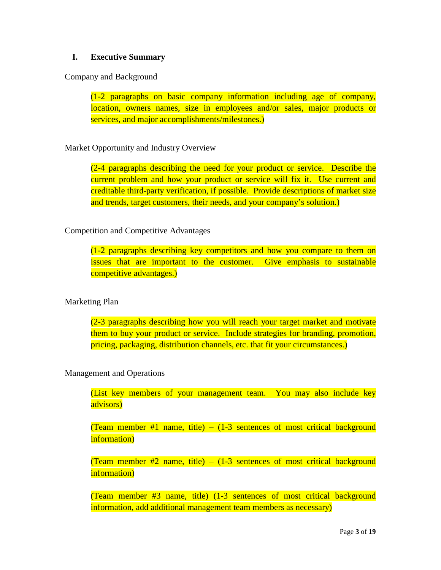# **I. Executive Summary**

Company and Background

(1-2 paragraphs on basic company information including age of company, location, owners names, size in employees and/or sales, major products or services, and major accomplishments/milestones.)

# Market Opportunity and Industry Overview

(2-4 paragraphs describing the need for your product or service. Describe the current problem and how your product or service will fix it. Use current and creditable third-party verification, if possible. Provide descriptions of market size and trends, target customers, their needs, and your company's solution.)

# Competition and Competitive Advantages

(1-2 paragraphs describing key competitors and how you compare to them on issues that are important to the customer. Give emphasis to sustainable competitive advantages.)

# Marketing Plan

(2-3 paragraphs describing how you will reach your target market and motivate them to buy your product or service. Include strategies for branding, promotion, pricing, packaging, distribution channels, etc. that fit your circumstances.)

# Management and Operations

(List key members of your management team. You may also include key advisors)

(Team member #1 name, title)  $-$  (1-3 sentences of most critical background information)

(Team member  $#2$  name, title) – (1-3 sentences of most critical background information)

(Team member #3 name, title) (1-3 sentences of most critical background information, add additional management team members as necessary)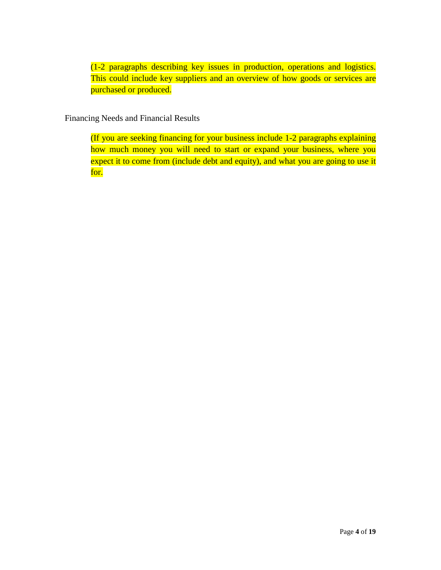(1-2 paragraphs describing key issues in production, operations and logistics. This could include key suppliers and an overview of how goods or services are purchased or produced.

Financing Needs and Financial Results

(If you are seeking financing for your business include 1-2 paragraphs explaining how much money you will need to start or expand your business, where you expect it to come from (include debt and equity), and what you are going to use it for.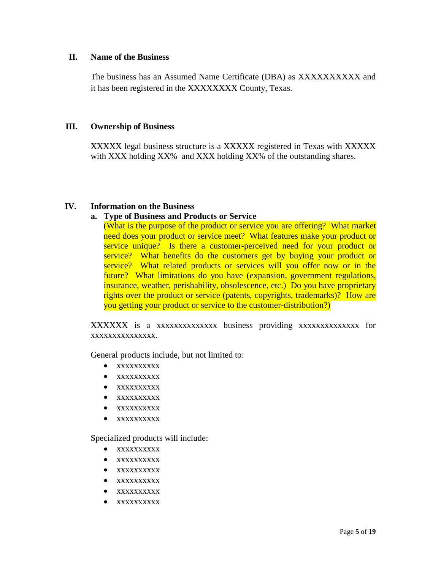#### **II. Name of the Business**

The business has an Assumed Name Certificate (DBA) as XXXXXXXXXX and it has been registered in the XXXXXXXX County, Texas.

# **III. Ownership of Business**

XXXXX legal business structure is a XXXXX registered in Texas with XXXXX with XXX holding XX% and XXX holding XX% of the outstanding shares.

# **IV. Information on the Business**

# **a. Type of Business and Products or Service**

(What is the purpose of the product or service you are offering? What market need does your product or service meet? What features make your product or service unique? Is there a customer-perceived need for your product or service? What benefits do the customers get by buying your product or service? What related products or services will you offer now or in the future? What limitations do you have (expansion, government regulations, insurance, weather, perishability, obsolescence, etc.) Do you have proprietary rights over the product or service (patents, copyrights, trademarks)? How are you getting your product or service to the customer-distribution?)

XXXXXX is a xxxxxxxxxxxxxx business providing xxxxxxxxxxxxxx for xxxxxxxxxxxxxxx.

General products include, but not limited to:

- xxxxxxxxxx
- xxxxxxxxxx
- xxxxxxxxxx
- xxxxxxxxxx
- xxxxxxxxxx
- xxxxxxxxxx

Specialized products will include:

- xxxxxxxxxx
- xxxxxxxxxx
- xxxxxxxxxx
- xxxxxxxxxx
- xxxxxxxxxx
- xxxxxxxxxx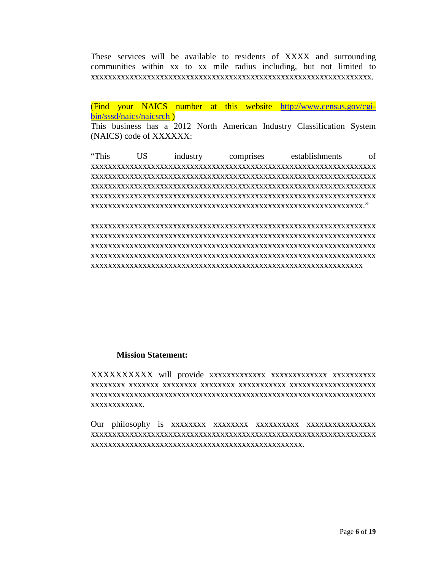These services will be available to residents of XXXX and surrounding communities within xx to xx mile radius including, but not limited to xxxxxxxxxxxxxxxxxxxxxxxxxxxxxxxxxxxxxxxxxxxxxxxxxxxxxxxxxxxxxxxxx.

(Find your NAICS number at this website [http://www.census.gov/cgi](http://www.census.gov/cgi-bin/sssd/naics/naicsrch)[bin/sssd/naics/naicsrch](http://www.census.gov/cgi-bin/sssd/naics/naicsrch) )

This business has a 2012 North American Industry Classification System (NAICS) code of XXXXXX:

"This US industry comprises establishments of xxxxxxxxxxxxxxxxxxxxxxxxxxxxxxxxxxxxxxxxxxxxxxxxxxxxxxxxxxxxxxxxxx xxxxxxxxxxxxxxxxxxxxxxxxxxxxxxxxxxxxxxxxxxxxxxxxxxxxxxxxxxxxxxxxxx xxxxxxxxxxxxxxxxxxxxxxxxxxxxxxxxxxxxxxxxxxxxxxxxxxxxxxxxxxxxxxxxxx xxxxxxxxxxxxxxxxxxxxxxxxxxxxxxxxxxxxxxxxxxxxxxxxxxxxxxxxxxxxxxxxxx xxxxxxxxxxxxxxxxxxxxxxxxxxxxxxxxxxxxxxxxxxxxxxxxxxxxxxxxxxxxxxx."

xxxxxxxxxxxxxxxxxxxxxxxxxxxxxxxxxxxxxxxxxxxxxxxxxxxxxxxxxxxxxxxxxx xxxxxxxxxxxxxxxxxxxxxxxxxxxxxxxxxxxxxxxxxxxxxxxxxxxxxxxxxxxxxxxxxx xxxxxxxxxxxxxxxxxxxxxxxxxxxxxxxxxxxxxxxxxxxxxxxxxxxxxxxxxxxxxxxxxx xxxxxxxxxxxxxxxxxxxxxxxxxxxxxxxxxxxxxxxxxxxxxxxxxxxxxxxxxxxxxxxxxx xxxxxxxxxxxxxxxxxxxxxxxxxxxxxxxxxxxxxxxxxxxxxxxxxxxxxxxxxxxxxxx

#### **Mission Statement:**

XXXXXXXXXX will provide xxxxxxxxxxxxx xxxxxxxxxxxxx xxxxxxxxxx xxxxxxxx xxxxxxx xxxxxxxx xxxxxxxx xxxxxxxxxxx xxxxxxxxxxxxxxxxxxxx xxxxxxxxxxxxxxxxxxxxxxxxxxxxxxxxxxxxxxxxxxxxxxxxxxxxxxxxxxxxxxxxxx xxxxxxxxxxxx.

Our philosophy is xxxxxxxx xxxxxxxx xxxxxxxxxx xxxxxxxxxxxxxxxx xxxxxxxxxxxxxxxxxxxxxxxxxxxxxxxxxxxxxxxxxxxxxxxxxxxxxxxxxxxxxxxxxx xxxxxxxxxxxxxxxxxxxxxxxxxxxxxxxxxxxxxxxxxxxxxxxxx.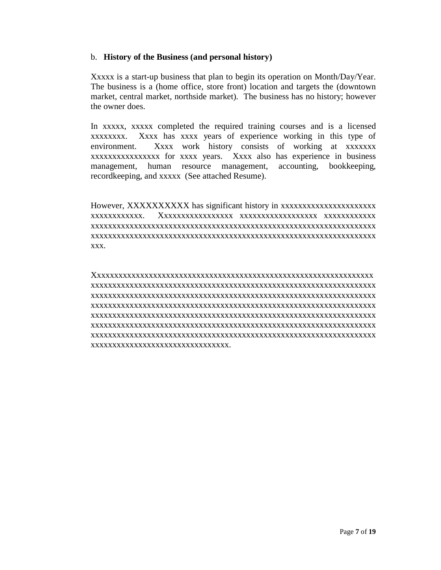#### b. **History of the Business (and personal history)**

Xxxxx is a start-up business that plan to begin its operation on Month/Day/Year. The business is a (home office, store front) location and targets the (downtown market, central market, northside market). The business has no history; however the owner does.

In xxxxx, xxxxx completed the required training courses and is a licensed xxxxxxxx. Xxxx has xxxx years of experience working in this type of environment. Xxxx work history consists of working at xxxxxxx xxxxxxxxxxxxxxxx for xxxx years. Xxxx also has experience in business management, human resource management, accounting, bookkeeping, recordkeeping, and xxxxx (See attached Resume).

However, XXXXXXXXXX has significant history in xxxxxxxxxxxxxxxxxxxxxx xxxxxxxxxxxx. Xxxxxxxxxxxxxxxxx xxxxxxxxxxxxxxxxxx xxxxxxxxxxxx xxxxxxxxxxxxxxxxxxxxxxxxxxxxxxxxxxxxxxxxxxxxxxxxxxxxxxxxxxxxxxxxxx xxxxxxxxxxxxxxxxxxxxxxxxxxxxxxxxxxxxxxxxxxxxxxxxxxxxxxxxxxxxxxxxxx xxx.

Xxxxxxxxxxxxxxxxxxxxxxxxxxxxxxxxxxxxxxxxxxxxxxxxxxxxxxxxxxxxxxxxx xxxxxxxxxxxxxxxxxxxxxxxxxxxxxxxxxxxxxxxxxxxxxxxxxxxxxxxxxxxxxxxxxx xxxxxxxxxxxxxxxxxxxxxxxxxxxxxxxxxxxxxxxxxxxxxxxxxxxxxxxxxxxxxxxxxx xxxxxxxxxxxxxxxxxxxxxxxxxxxxxxxxxxxxxxxxxxxxxxxxxxxxxxxxxxxxxxxxxx xxxxxxxxxxxxxxxxxxxxxxxxxxxxxxxxxxxxxxxxxxxxxxxxxxxxxxxxxxxxxxxxxx xxxxxxxxxxxxxxxxxxxxxxxxxxxxxxxxxxxxxxxxxxxxxxxxxxxxxxxxxxxxxxxxxx xxxxxxxxxxxxxxxxxxxxxxxxxxxxxxxxxxxxxxxxxxxxxxxxxxxxxxxxxxxxxxxxxx xxxxxxxxxxxxxxxxxxxxxxxxxxxxxxxx.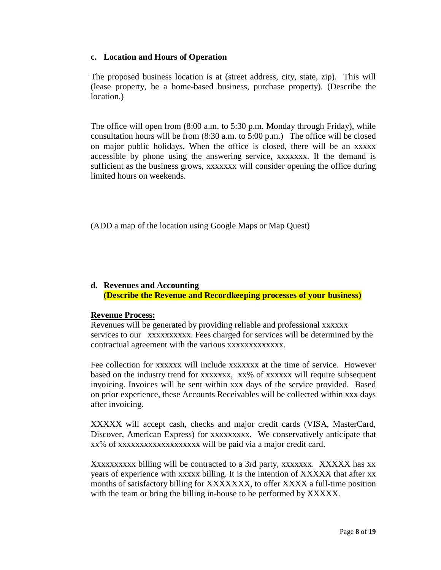# **c. Location and Hours of Operation**

The proposed business location is at (street address, city, state, zip). This will (lease property, be a home-based business, purchase property). (Describe the location.)

The office will open from (8:00 a.m. to 5:30 p.m. Monday through Friday), while consultation hours will be from (8:30 a.m. to 5:00 p.m.) The office will be closed on major public holidays. When the office is closed, there will be an xxxxx accessible by phone using the answering service, xxxxxxx. If the demand is sufficient as the business grows, xxxxxxx will consider opening the office during limited hours on weekends.

(ADD a map of the location using Google Maps or Map Quest)

# **d. Revenues and Accounting (Describe the Revenue and Recordkeeping processes of your business)**

# **Revenue Process:**

Revenues will be generated by providing reliable and professional xxxxxx services to our xxxxxxxxxx. Fees charged for services will be determined by the contractual agreement with the various xxxxxxxxxxxxx.

Fee collection for xxxxxx will include xxxxxxx at the time of service. However based on the industry trend for xxxxxxx, xx% of xxxxxx will require subsequent invoicing. Invoices will be sent within xxx days of the service provided. Based on prior experience, these Accounts Receivables will be collected within xxx days after invoicing.

XXXXX will accept cash, checks and major credit cards (VISA, MasterCard, Discover, American Express) for xxxxxxxxx. We conservatively anticipate that xx% of xxxxxxxxxxxxxxxxxxx will be paid via a major credit card.

Xxxxxxxxxx billing will be contracted to a 3rd party, xxxxxxx. XXXXX has xx years of experience with xxxxx billing. It is the intention of XXXXX that after xx months of satisfactory billing for XXXXXXX, to offer XXXX a full-time position with the team or bring the billing in-house to be performed by XXXXX.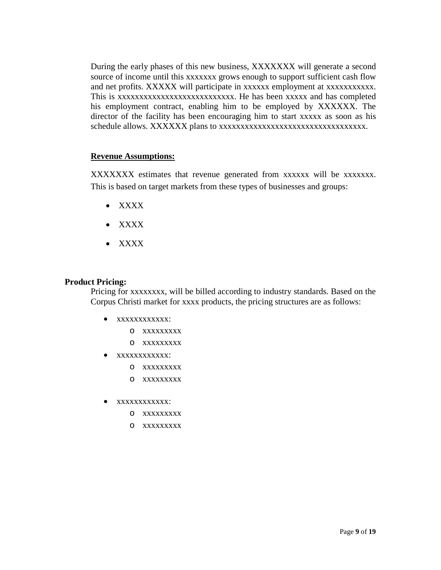During the early phases of this new business, XXXXXXX will generate a second source of income until this xxxxxxx grows enough to support sufficient cash flow and net profits. XXXXX will participate in xxxxxx employment at xxxxxxxxxxx. This is xxxxxxxxxxxxxxxxxxxxxxxxxxx. He has been xxxxx and has completed his employment contract, enabling him to be employed by XXXXXX. The director of the facility has been encouraging him to start xxxxx as soon as his schedule allows. XXXXXX plans to xxxxxxxxxxxxxxxxxxxxxxxxxxxxxxxxxx.

#### **Revenue Assumptions:**

XXXXXXX estimates that revenue generated from xxxxxx will be xxxxxxx. This is based on target markets from these types of businesses and groups:

- XXXX
- XXXX
- XXXX

#### **Product Pricing:**

Pricing for xxxxxxxx, will be billed according to industry standards. Based on the Corpus Christi market for xxxx products, the pricing structures are as follows:

- xxxxxxxxxxxx:
	- o xxxxxxxxx
	- o xxxxxxxxx
- xxxxxxxxxxxx:
	- o xxxxxxxxx
	- o xxxxxxxxx
- xxxxxxxxxxxx:
	- o xxxxxxxxx
	- o xxxxxxxxx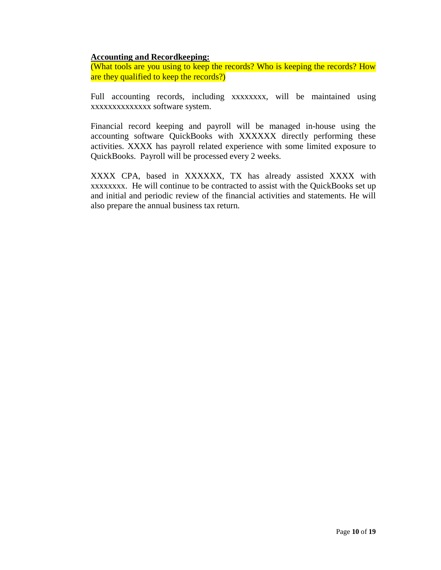#### **Accounting and Recordkeeping:**

(What tools are you using to keep the records? Who is keeping the records? How are they qualified to keep the records?)

Full accounting records, including xxxxxxxx, will be maintained using xxxxxxxxxxxxxx software system.

Financial record keeping and payroll will be managed in-house using the accounting software QuickBooks with XXXXXX directly performing these activities. XXXX has payroll related experience with some limited exposure to QuickBooks. Payroll will be processed every 2 weeks.

XXXX CPA, based in XXXXXX, TX has already assisted XXXX with xxxxxxxx. He will continue to be contracted to assist with the QuickBooks set up and initial and periodic review of the financial activities and statements. He will also prepare the annual business tax return.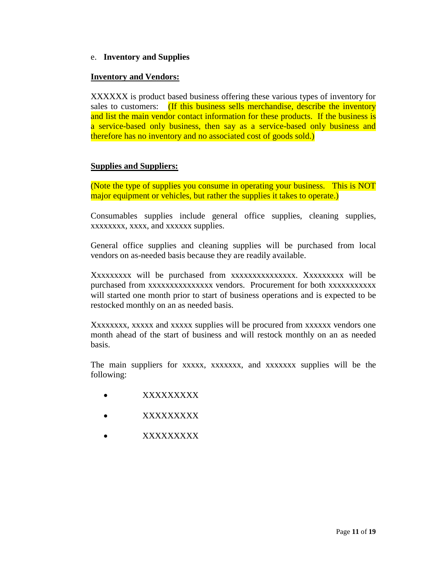e. **Inventory and Supplies**

# **Inventory and Vendors:**

XXXXXX is product based business offering these various types of inventory for sales to customers: (If this business sells merchandise, describe the inventory and list the main vendor contact information for these products. If the business is a service-based only business, then say as a service-based only business and therefore has no inventory and no associated cost of goods sold.)

# **Supplies and Suppliers:**

(Note the type of supplies you consume in operating your business. This is NOT major equipment or vehicles, but rather the supplies it takes to operate.)

Consumables supplies include general office supplies, cleaning supplies, xxxxxxxx, xxxx, and xxxxxx supplies.

General office supplies and cleaning supplies will be purchased from local vendors on as-needed basis because they are readily available.

Xxxxxxxxx will be purchased from xxxxxxxxxxxxxxx. Xxxxxxxxx will be purchased from xxxxxxxxxxxxxxx vendors. Procurement for both xxxxxxxxxxx will started one month prior to start of business operations and is expected to be restocked monthly on an as needed basis.

Xxxxxxxx, xxxxx and xxxxx supplies will be procured from xxxxxx vendors one month ahead of the start of business and will restock monthly on an as needed basis.

The main suppliers for xxxxx, xxxxxxx, and xxxxxxx supplies will be the following:

- XXXXXXXXX
- XXXXXXXXX
- XXXXXXXXX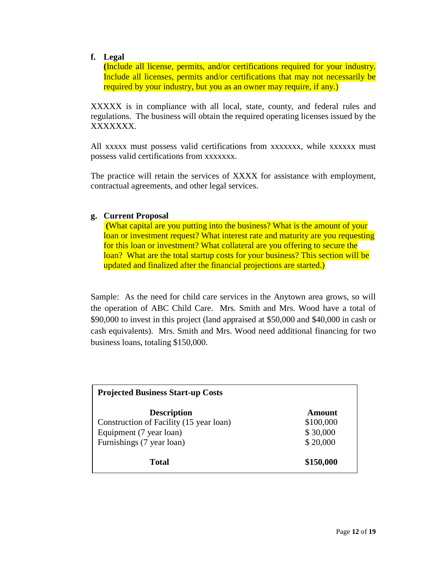#### **f. Legal**

**(**Include all license, permits, and/or certifications required for your industry. Include all licenses, permits and/or certifications that may not necessarily be required by your industry, but you as an owner may require, if any.)

XXXXX is in compliance with all local, state, county, and federal rules and regulations. The business will obtain the required operating licenses issued by the XXXXXXX.

All xxxxx must possess valid certifications from xxxxxxx, while xxxxxx must possess valid certifications from xxxxxxx.

The practice will retain the services of XXXX for assistance with employment, contractual agreements, and other legal services.

#### **g. Current Proposal**

 **(**What capital are you putting into the business? What is the amount of your loan or investment request? What interest rate and maturity are you requesting for this loan or investment? What collateral are you offering to secure the loan? What are the total startup costs for your business? This section will be updated and finalized after the financial projections are started.)

Sample: As the need for child care services in the Anytown area grows, so will the operation of ABC Child Care. Mrs. Smith and Mrs. Wood have a total of \$90,000 to invest in this project (land appraised at \$50,000 and \$40,000 in cash or cash equivalents). Mrs. Smith and Mrs. Wood need additional financing for two business loans, totaling \$150,000.

| <b>Projected Business Start-up Costs</b> |           |  |  |  |  |  |
|------------------------------------------|-----------|--|--|--|--|--|
| <b>Description</b>                       | Amount    |  |  |  |  |  |
| Construction of Facility (15 year loan)  | \$100,000 |  |  |  |  |  |
| Equipment (7 year loan)                  | \$30,000  |  |  |  |  |  |
| Furnishings (7 year loan)                | \$20,000  |  |  |  |  |  |
| Total                                    | \$150,000 |  |  |  |  |  |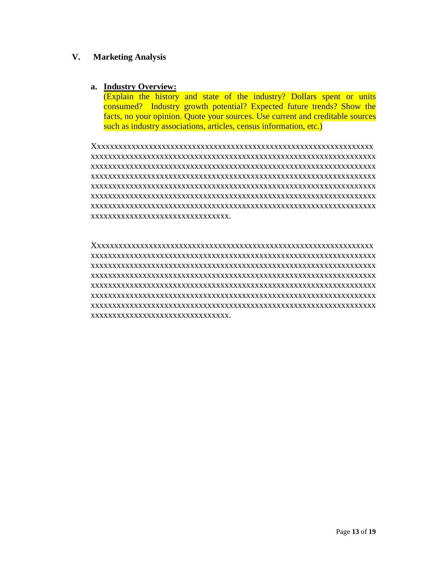#### **V. Marketing Analysis**

#### **a. Industry Overview:**

(Explain the history and state of the industry? Dollars spent or units consumed? Industry growth potential? Expected future trends? Show the facts, no your opinion. Quote your sources. Use current and creditable sources such as industry associations, articles, census information, etc.)

Xxxxxxxxxxxxxxxxxxxxxxxxxxxxxxxxxxxxxxxxxxxxxxxxxxxxxxxxxxxxxxxxx xxxxxxxxxxxxxxxxxxxxxxxxxxxxxxxxxxxxxxxxxxxxxxxxxxxxxxxxxxxxxxxxxx xxxxxxxxxxxxxxxxxxxxxxxxxxxxxxxxxxxxxxxxxxxxxxxxxxxxxxxxxxxxxxxxxx xxxxxxxxxxxxxxxxxxxxxxxxxxxxxxxxxxxxxxxxxxxxxxxxxxxxxxxxxxxxxxxxxx xxxxxxxxxxxxxxxxxxxxxxxxxxxxxxxxxxxxxxxxxxxxxxxxxxxxxxxxxxxxxxxxxx xxxxxxxxxxxxxxxxxxxxxxxxxxxxxxxxxxxxxxxxxxxxxxxxxxxxxxxxxxxxxxxxxx xxxxxxxxxxxxxxxxxxxxxxxxxxxxxxxxxxxxxxxxxxxxxxxxxxxxxxxxxxxxxxxxxx xxxxxxxxxxxxxxxxxxxxxxxxxxxxxxxx.

Xxxxxxxxxxxxxxxxxxxxxxxxxxxxxxxxxxxxxxxxxxxxxxxxxxxxxxxxxxxxxxxxx xxxxxxxxxxxxxxxxxxxxxxxxxxxxxxxxxxxxxxxxxxxxxxxxxxxxxxxxxxxxxxxxxx xxxxxxxxxxxxxxxxxxxxxxxxxxxxxxxxxxxxxxxxxxxxxxxxxxxxxxxxxxxxxxxxxx xxxxxxxxxxxxxxxxxxxxxxxxxxxxxxxxxxxxxxxxxxxxxxxxxxxxxxxxxxxxxxxxxx xxxxxxxxxxxxxxxxxxxxxxxxxxxxxxxxxxxxxxxxxxxxxxxxxxxxxxxxxxxxxxxxxx xxxxxxxxxxxxxxxxxxxxxxxxxxxxxxxxxxxxxxxxxxxxxxxxxxxxxxxxxxxxxxxxxx xxxxxxxxxxxxxxxxxxxxxxxxxxxxxxxxxxxxxxxxxxxxxxxxxxxxxxxxxxxxxxxxxx xxxxxxxxxxxxxxxxxxxxxxxxxxxxxxxx.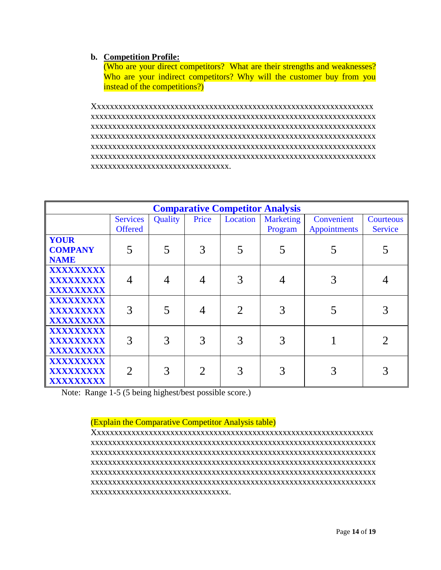# **b. Competition Profile:**

(Who are your direct competitors? What are their strengths and weaknesses? Who are your indirect competitors? Why will the customer buy from you instead of the competitions?)

Xxxxxxxxxxxxxxxxxxxxxxxxxxxxxxxxxxxxxxxxxxxxxxxxxxxxxxxxxxxxxxxxx xxxxxxxxxxxxxxxxxxxxxxxxxxxxxxxxxxxxxxxxxxxxxxxxxxxxxxxxxxxxxxxxxx xxxxxxxxxxxxxxxxxxxxxxxxxxxxxxxxxxxxxxxxxxxxxxxxxxxxxxxxxxxxxxxxxx xxxxxxxxxxxxxxxxxxxxxxxxxxxxxxxxxxxxxxxxxxxxxxxxxxxxxxxxxxxxxxxxxx xxxxxxxxxxxxxxxxxxxxxxxxxxxxxxxxxxxxxxxxxxxxxxxxxxxxxxxxxxxxxxxxxx xxxxxxxxxxxxxxxxxxxxxxxxxxxxxxxxxxxxxxxxxxxxxxxxxxxxxxxxxxxxxxxxxx xxxxxxxxxxxxxxxxxxxxxxxxxxxxxxxx.

| <b>Comparative Competitor Analysis</b>       |                                   |         |       |                             |                      |                                   |                             |  |  |
|----------------------------------------------|-----------------------------------|---------|-------|-----------------------------|----------------------|-----------------------------------|-----------------------------|--|--|
|                                              | <b>Services</b><br><b>Offered</b> | Quality | Price | Location                    | Marketing<br>Program | Convenient<br><b>Appointments</b> | Courteous<br><b>Service</b> |  |  |
| <b>YOUR</b><br><b>COMPANY</b><br><b>NAME</b> | 5                                 |         | 3     |                             |                      |                                   |                             |  |  |
| XXXXXXXXX<br>XXXXXXXXX<br>XXXXXXXXX          |                                   |         |       |                             |                      |                                   |                             |  |  |
| XXXXXXXXX<br>XXXXXXXXX<br>XXXXXXXXX          | 3                                 |         |       | $\mathcal{D}_{\mathcal{A}}$ |                      |                                   |                             |  |  |
| XXXXXXXXX<br>XXXXXXXXX<br>XXXXXXXXX          | 3                                 |         | 3     |                             |                      |                                   |                             |  |  |
| XXXXXXXXX<br>XXXXXXXX<br>XXXXXXXXX           | $\mathfrak{D}$                    |         |       |                             |                      |                                   |                             |  |  |

Note: Range 1-5 (5 being highest/best possible score.)

(Explain the Comparative Competitor Analysis table)

Xxxxxxxxxxxxxxxxxxxxxxxxxxxxxxxxxxxxxxxxxxxxxxxxxxxxxxxxxxxxxxxxx xxxxxxxxxxxxxxxxxxxxxxxxxxxxxxxxxxxxxxxxxxxxxxxxxxxxxxxxxxxxxxxxxx xxxxxxxxxxxxxxxxxxxxxxxxxxxxxxxxxxxxxxxxxxxxxxxxxxxxxxxxxxxxxxxxxx xxxxxxxxxxxxxxxxxxxxxxxxxxxxxxxxxxxxxxxxxxxxxxxxxxxxxxxxxxxxxxxxxx xxxxxxxxxxxxxxxxxxxxxxxxxxxxxxxxxxxxxxxxxxxxxxxxxxxxxxxxxxxxxxxxxx xxxxxxxxxxxxxxxxxxxxxxxxxxxxxxxxxxxxxxxxxxxxxxxxxxxxxxxxxxxxxxxxxx xxxxxxxxxxxxxxxxxxxxxxxxxxxxxxxx.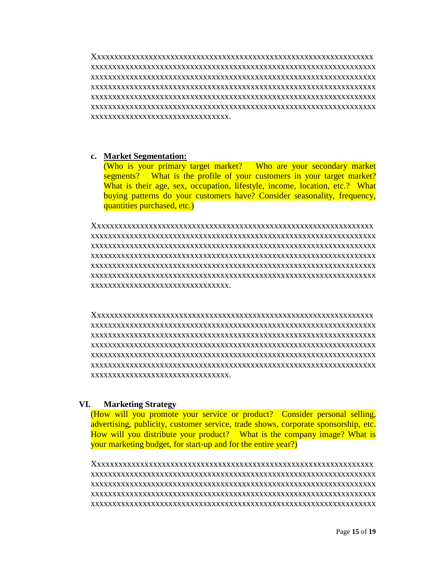Xxxxxxxxxxxxxxxxxxxxxxxxxxxxxxxxxxxxxxxxxxxxxxxxxxxxxxxxxxxxxxxxx xxxxxxxxxxxxxxxxxxxxxxxxxxxxxxxxxxxxxxxxxxxxxxxxxxxxxxxxxxxxxxxxxx xxxxxxxxxxxxxxxxxxxxxxxxxxxxxxxxxxxxxxxxxxxxxxxxxxxxxxxxxxxxxxxxxx xxxxxxxxxxxxxxxxxxxxxxxxxxxxxxxxxxxxxxxxxxxxxxxxxxxxxxxxxxxxxxxxxx xxxxxxxxxxxxxxxxxxxxxxxxxxxxxxxxxxxxxxxxxxxxxxxxxxxxxxxxxxxxxxxxxx xxxxxxxxxxxxxxxxxxxxxxxxxxxxxxxxxxxxxxxxxxxxxxxxxxxxxxxxxxxxxxxxxx xxxxxxxxxxxxxxxxxxxxxxxxxxxxxxxx.

#### **c. Market Segmentation:**

(Who is your primary target market? Who are your secondary market segments? What is the profile of your customers in your target market? What is their age, sex, occupation, lifestyle, income, location, etc.? What buying patterns do your customers have? Consider seasonality, frequency, quantities purchased, etc.)

Xxxxxxxxxxxxxxxxxxxxxxxxxxxxxxxxxxxxxxxxxxxxxxxxxxxxxxxxxxxxxxxxx xxxxxxxxxxxxxxxxxxxxxxxxxxxxxxxxxxxxxxxxxxxxxxxxxxxxxxxxxxxxxxxxxx xxxxxxxxxxxxxxxxxxxxxxxxxxxxxxxxxxxxxxxxxxxxxxxxxxxxxxxxxxxxxxxxxx xxxxxxxxxxxxxxxxxxxxxxxxxxxxxxxxxxxxxxxxxxxxxxxxxxxxxxxxxxxxxxxxxx xxxxxxxxxxxxxxxxxxxxxxxxxxxxxxxxxxxxxxxxxxxxxxxxxxxxxxxxxxxxxxxxxx xxxxxxxxxxxxxxxxxxxxxxxxxxxxxxxxxxxxxxxxxxxxxxxxxxxxxxxxxxxxxxxxxx xxxxxxxxxxxxxxxxxxxxxxxxxxxxxxxx.

Xxxxxxxxxxxxxxxxxxxxxxxxxxxxxxxxxxxxxxxxxxxxxxxxxxxxxxxxxxxxxxxxx xxxxxxxxxxxxxxxxxxxxxxxxxxxxxxxxxxxxxxxxxxxxxxxxxxxxxxxxxxxxxxxxxx xxxxxxxxxxxxxxxxxxxxxxxxxxxxxxxxxxxxxxxxxxxxxxxxxxxxxxxxxxxxxxxxxx xxxxxxxxxxxxxxxxxxxxxxxxxxxxxxxxxxxxxxxxxxxxxxxxxxxxxxxxxxxxxxxxxx xxxxxxxxxxxxxxxxxxxxxxxxxxxxxxxxxxxxxxxxxxxxxxxxxxxxxxxxxxxxxxxxxx xxxxxxxxxxxxxxxxxxxxxxxxxxxxxxxxxxxxxxxxxxxxxxxxxxxxxxxxxxxxxxxxxx xxxxxxxxxxxxxxxxxxxxxxxxxxxxxxxx.

#### **VI. Marketing Strategy**

(How will you promote your service or product? Consider personal selling, advertising, publicity, customer service, trade shows, corporate sponsorship, etc. How will you distribute your product? What is the company image? What is your marketing budget, for start-up and for the entire year?)

Xxxxxxxxxxxxxxxxxxxxxxxxxxxxxxxxxxxxxxxxxxxxxxxxxxxxxxxxxxxxxxxxx xxxxxxxxxxxxxxxxxxxxxxxxxxxxxxxxxxxxxxxxxxxxxxxxxxxxxxxxxxxxxxxxxx xxxxxxxxxxxxxxxxxxxxxxxxxxxxxxxxxxxxxxxxxxxxxxxxxxxxxxxxxxxxxxxxxx xxxxxxxxxxxxxxxxxxxxxxxxxxxxxxxxxxxxxxxxxxxxxxxxxxxxxxxxxxxxxxxxxx xxxxxxxxxxxxxxxxxxxxxxxxxxxxxxxxxxxxxxxxxxxxxxxxxxxxxxxxxxxxxxxxxx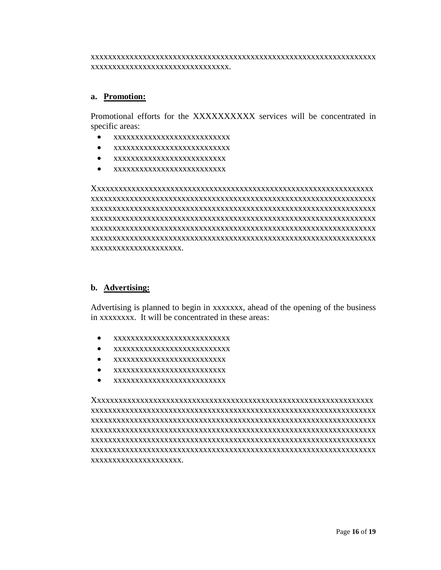xxxxxxxxxxxxxxxxxxxxxxxxxxxxxxxxxxxxxxxxxxxxxxxxxxxxxxxxxxxxxxxxxx xxxxxxxxxxxxxxxxxxxxxxxxxxxxxxxx.

#### **a. Promotion:**

Promotional efforts for the XXXXXXXXXX services will be concentrated in specific areas:

- xxxxxxxxxxxxxxxxxxxxxxxxxxx
- xxxxxxxxxxxxxxxxxxxxxxxxxxx
- xxxxxxxxxxxxxxxxxxxxxxxxxx
- xxxxxxxxxxxxxxxxxxxxxxxxxx

Xxxxxxxxxxxxxxxxxxxxxxxxxxxxxxxxxxxxxxxxxxxxxxxxxxxxxxxxxxxxxxxxx xxxxxxxxxxxxxxxxxxxxxxxxxxxxxxxxxxxxxxxxxxxxxxxxxxxxxxxxxxxxxxxxxx xxxxxxxxxxxxxxxxxxxxxxxxxxxxxxxxxxxxxxxxxxxxxxxxxxxxxxxxxxxxxxxxxx xxxxxxxxxxxxxxxxxxxxxxxxxxxxxxxxxxxxxxxxxxxxxxxxxxxxxxxxxxxxxxxxxx xxxxxxxxxxxxxxxxxxxxxxxxxxxxxxxxxxxxxxxxxxxxxxxxxxxxxxxxxxxxxxxxxx xxxxxxxxxxxxxxxxxxxxxxxxxxxxxxxxxxxxxxxxxxxxxxxxxxxxxxxxxxxxxxxxxx xxxxxxxxxxxxxxxxxxxxx.

#### **b. Advertising:**

Advertising is planned to begin in xxxxxxx, ahead of the opening of the business in xxxxxxxx. It will be concentrated in these areas:

- xxxxxxxxxxxxxxxxxxxxxxxxxxx
- xxxxxxxxxxxxxxxxxxxxxxxxxxx
- xxxxxxxxxxxxxxxxxxxxxxxxxx
- xxxxxxxxxxxxxxxxxxxxxxxxxx
- xxxxxxxxxxxxxxxxxxxxxxxxxx

Xxxxxxxxxxxxxxxxxxxxxxxxxxxxxxxxxxxxxxxxxxxxxxxxxxxxxxxxxxxxxxxxx xxxxxxxxxxxxxxxxxxxxxxxxxxxxxxxxxxxxxxxxxxxxxxxxxxxxxxxxxxxxxxxxxx xxxxxxxxxxxxxxxxxxxxxxxxxxxxxxxxxxxxxxxxxxxxxxxxxxxxxxxxxxxxxxxxxx xxxxxxxxxxxxxxxxxxxxxxxxxxxxxxxxxxxxxxxxxxxxxxxxxxxxxxxxxxxxxxxxxx xxxxxxxxxxxxxxxxxxxxxxxxxxxxxxxxxxxxxxxxxxxxxxxxxxxxxxxxxxxxxxxxxx xxxxxxxxxxxxxxxxxxxxxxxxxxxxxxxxxxxxxxxxxxxxxxxxxxxxxxxxxxxxxxxxxx xxxxxxxxxxxxxxxxxxxxx.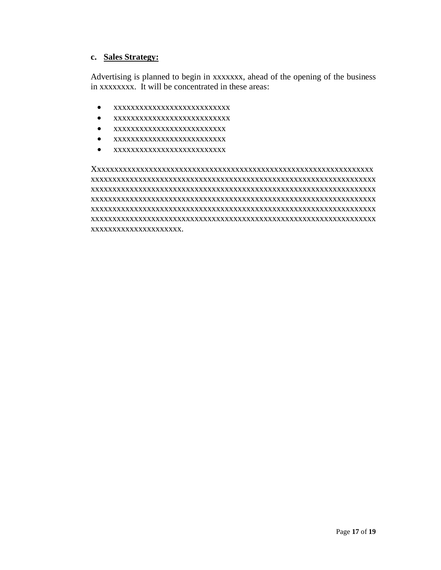# **c. Sales Strategy:**

Advertising is planned to begin in xxxxxxx, ahead of the opening of the business in xxxxxxxx. It will be concentrated in these areas:

- xxxxxxxxxxxxxxxxxxxxxxxxxxx
- xxxxxxxxxxxxxxxxxxxxxxxxxxx
- xxxxxxxxxxxxxxxxxxxxxxxxxx
- xxxxxxxxxxxxxxxxxxxxxxxxxx
- xxxxxxxxxxxxxxxxxxxxxxxxxx

Xxxxxxxxxxxxxxxxxxxxxxxxxxxxxxxxxxxxxxxxxxxxxxxxxxxxxxxxxxxxxxxxx xxxxxxxxxxxxxxxxxxxxxxxxxxxxxxxxxxxxxxxxxxxxxxxxxxxxxxxxxxxxxxxxxx xxxxxxxxxxxxxxxxxxxxxxxxxxxxxxxxxxxxxxxxxxxxxxxxxxxxxxxxxxxxxxxxxx xxxxxxxxxxxxxxxxxxxxxxxxxxxxxxxxxxxxxxxxxxxxxxxxxxxxxxxxxxxxxxxxxx xxxxxxxxxxxxxxxxxxxxxxxxxxxxxxxxxxxxxxxxxxxxxxxxxxxxxxxxxxxxxxxxxx xxxxxxxxxxxxxxxxxxxxxxxxxxxxxxxxxxxxxxxxxxxxxxxxxxxxxxxxxxxxxxxxxx xxxxxxxxxxxxxxxxxxxxx.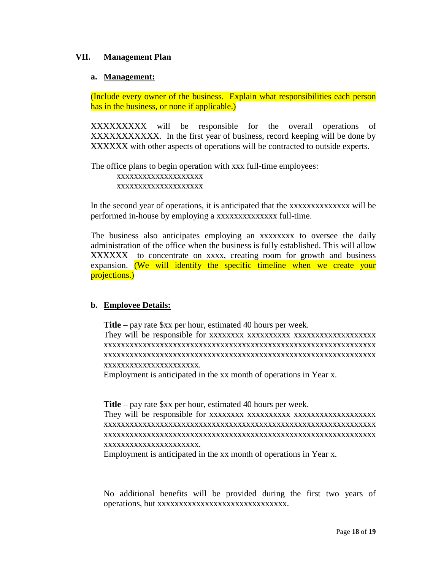#### **VII. Management Plan**

#### **a. Management:**

(Include every owner of the business. Explain what responsibilities each person has in the business, or none if applicable.)

XXXXXXXXX will be responsible for the overall operations of XXXXXXXXXXX. In the first year of business, record keeping will be done by XXXXXX with other aspects of operations will be contracted to outside experts.

The office plans to begin operation with xxx full-time employees: xxxxxxxxxxxxxxxxxxxx xxxxxxxxxxxxxxxxxxxx

In the second year of operations, it is anticipated that the xxxxxxxxxxxxxxx will be performed in-house by employing a xxxxxxxxxxxxxx full-time.

The business also anticipates employing an xxxxxxxx to oversee the daily administration of the office when the business is fully established. This will allow XXXXXX to concentrate on xxxx, creating room for growth and business expansion. (We will identify the specific timeline when we create your projections.)

# **b. Employee Details:**

**Title** – pay rate \$xx per hour, estimated 40 hours per week. They will be responsible for xxxxxxxx xxxxxxxxxx xxxxxxxxxxxxxxxxxxx xxxxxxxxxxxxxxxxxxxxxxxxxxxxxxxxxxxxxxxxxxxxxxxxxxxxxxxxxxxxxxx xxxxxxxxxxxxxxxxxxxxxxxxxxxxxxxxxxxxxxxxxxxxxxxxxxxxxxxxxxxxxxx xxxxxxxxxxxxxxxxxxxxxx.

Employment is anticipated in the xx month of operations in Year x.

**Title** – pay rate \$xx per hour, estimated 40 hours per week.

They will be responsible for xxxxxxxx xxxxxxxxxx xxxxxxxxxxxxxxxxxxx xxxxxxxxxxxxxxxxxxxxxxxxxxxxxxxxxxxxxxxxxxxxxxxxxxxxxxxxxxxxxxx xxxxxxxxxxxxxxxxxxxxxxxxxxxxxxxxxxxxxxxxxxxxxxxxxxxxxxxxxxxxxxx xxxxxxxxxxxxxxxxxxxxxx.

Employment is anticipated in the xx month of operations in Year x.

No additional benefits will be provided during the first two years of operations, but xxxxxxxxxxxxxxxxxxxxxxxxxxxxxx.